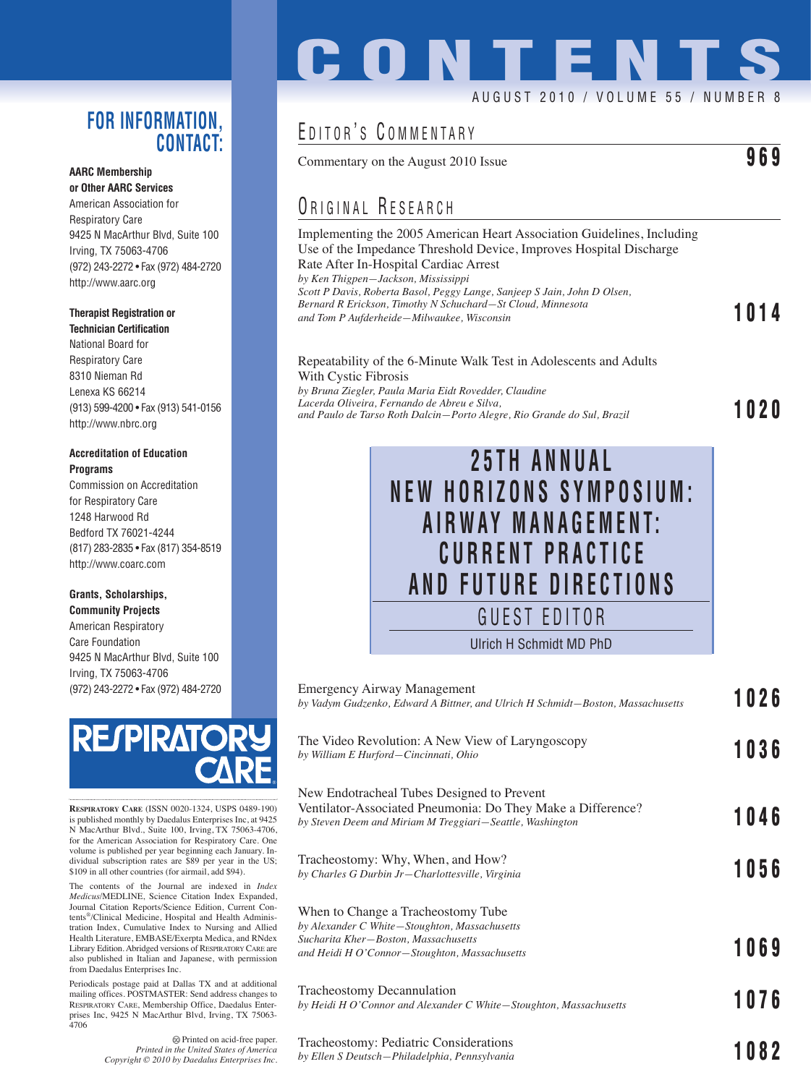### **FOR INFORMATION, CONTACT:**

#### **AARC Membership or Other AARC Services**

American Association for Respiratory Care 9425 N MacArthur Blvd, Suite 100 Irving, TX 75063-4706 (972) 243-2272 • Fax (972) 484-2720 http://www.aarc.org

### **Therapist Registration or**

**Technician Certification** National Board for Respiratory Care 8310 Nieman Rd Lenexa KS 66214 (913) 599-4200 • Fax (913) 541-0156 http://www.nbrc.org

#### **Accreditation of Education Programs**

Commission on Accreditation for Respiratory Care 1248 Harwood Rd Bedford TX 76021-4244 (817) 283-2835 • Fax (817) 354-8519 http://www.coarc.com

#### **Grants, Scholarships, Community Projects**

American Respiratory Care Foundation 9425 N MacArthur Blvd, Suite 100 Irving, TX 75063-4706 (972) 243-2272 • Fax (972) 484-2720



**RESPIRATORY CARE** (ISSN 0020-1324, USPS 0489-190) is published monthly by Daedalus Enterprises Inc, at 9425 N MacArthur Blvd., Suite 100, Irving, TX 75063-4706, for the American Association for Respiratory Care. One volume is published per year beginning each January. Individual subscription rates are \$89 per year in the US; \$109 in all other countries (for airmail, add \$94).

The contents of the Journal are indexed in *Index Medicus*/MEDLINE, Science Citation Index Expanded, Journal Citation Reports/Science Edition, Current Contents®/Clinical Medicine, Hospital and Health Administration Index, Cumulative Index to Nursing and Allied Health Literature, EMBASE/Exerpta Medica, and RNdex Library Edition. Abridged versions of RESPIRATORY CARE are also published in Italian and Japanese, with permission from Daedalus Enterprises Inc.

Periodicals postage paid at Dallas TX and at additional mailing offices. POSTMASTER: Send address changes to RESPIRATORY CARE, Membership Office, Daedalus Enterprises Inc, 9425 N MacArthur Blvd, Irving, TX 75063- 4706

**CONTENTS**

### AUGUST 2010 / VOLUME 55 / NUMBER 8

## EDITOR'S COMMENTARY

Commentary on the August 2010 Issue **969**

## ORIGINAL RESEARCH

Implementing the 2005 American Heart Association Guidelines, Including Use of the Impedance Threshold Device, Improves Hospital Discharge Rate After In-Hospital Cardiac Arrest *by Ken Thigpen—Jackson, Mississippi Scott P Davis, Roberta Basol, Peggy Lange, Sanjeep S Jain, John D Olsen, Bernard R Erickson, Timothy N Schuchard—St Cloud, Minnesota and Tom P Aufderheide—Milwaukee, Wisconsin* **1014**

### Repeatability of the 6-Minute Walk Test in Adolescents and Adults With Cystic Fibrosis

*by Bruna Ziegler, Paula Maria Eidt Rovedder, Claudine Lacerda Oliveira, Fernando de Abreu e Silva, and Paulo de Tarso Roth Dalcin—Porto Alegre, Rio Grande do Sul, Brazil* **1020**



| <b>Emergency Airway Management</b><br>by Vadym Gudzenko, Edward A Bittner, and Ulrich H Schmidt-Boston, Massachusetts                                                        | 1026 |
|------------------------------------------------------------------------------------------------------------------------------------------------------------------------------|------|
| The Video Revolution: A New View of Laryngoscopy<br>by William E Hurford-Cincinnati, Ohio                                                                                    | 1036 |
| New Endotracheal Tubes Designed to Prevent<br>Ventilator-Associated Pneumonia: Do They Make a Difference?<br>by Steven Deem and Miriam M Treggiari-Seattle, Washington       | 1046 |
| Tracheostomy: Why, When, and How?<br>by Charles G Durbin Jr-Charlottesville, Virginia                                                                                        | 1056 |
| When to Change a Tracheostomy Tube<br>by Alexander C White-Stoughton, Massachusetts<br>Sucharita Kher-Boston, Massachusetts<br>and Heidi H O'Connor-Stoughton, Massachusetts | 1069 |
| Tracheostomy Decannulation<br>by Heidi H O'Connor and Alexander C White-Stoughton, Massachusetts                                                                             | 1076 |
| Tracheostomy: Pediatric Considerations<br>by Ellen S Deutsch-Philadelphia, Pennsylvania                                                                                      | 1082 |

Printed on acid-free paper. *Printed in the United States of America Copyright © 2010 by Daedalus Enterprises Inc.*